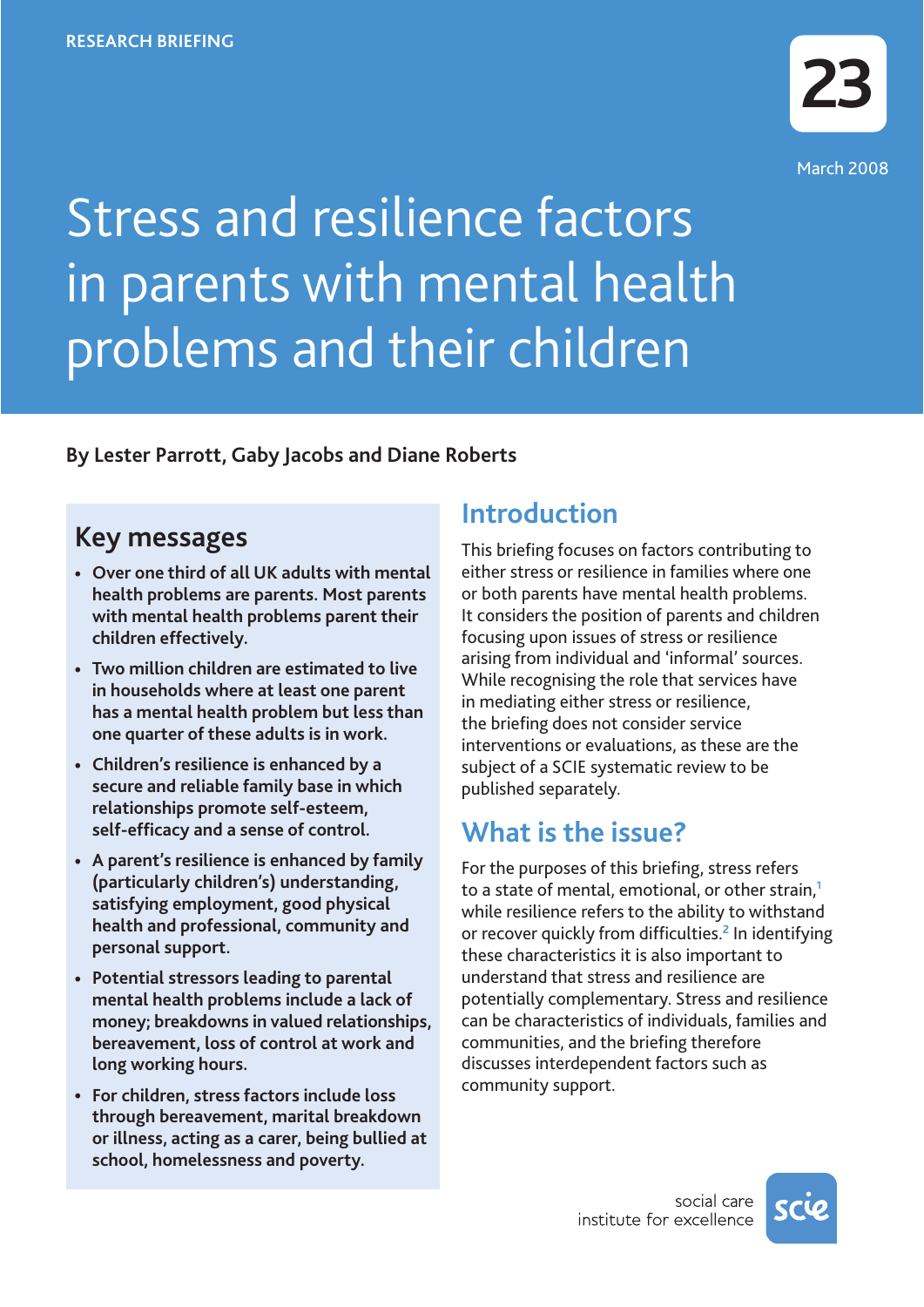

# Stress and resilience factors in parents with mental health problems and their children

**By Lester Parrott, Gaby Jacobs and Diane Roberts**

### **Key messages**

- **• Over one third of all UK adults with mental health problems are parents. Most parents with mental health problems parent their children effectively.**
- **• Two million children are estimated to live in households where at least one parent has a mental health problem but less than one quarter of these adults is in work.**
- **• Children's resilience is enhanced by a secure and reliable family base in which relationships promote self-esteem, self-efficacy and a sense of control.**
- **• A parent's resilience is enhanced by family (particularly children's) understanding, satisfying employment, good physical health and professional, community and personal support.**
- **• Potential stressors leading to parental mental health problems include a lack of money; breakdowns in valued relationships, bereavement, loss of control at work and long working hours.**
- **• For children, stress factors include loss through bereavement, marital breakdown or illness, acting as a carer, being bullied at school, homelessness and poverty.**

### **Introduction**

This briefing focuses on factors contributing to either stress or resilience in families where one or both parents have mental health problems. It considers the position of parents and children focusing upon issues of stress or resilience arising from individual and 'informal' sources. While recognising the role that services have in mediating either stress or resilience, the briefing does not consider service interventions or evaluations, as these are the subject of a SCIE systematic review to be published separately.

### **What is the issue?**

For the purposes of this briefing, stress refers to a state of mental, emotional, or other strain,**<sup>1</sup>** while resilience refers to the ability to withstand or recover quickly from difficulties.**<sup>2</sup>** In identifying these characteristics it is also important to understand that stress and resilience are potentially complementary. Stress and resilience can be characteristics of individuals, families and communities, and the briefing therefore discusses interdependent factors such as community support.

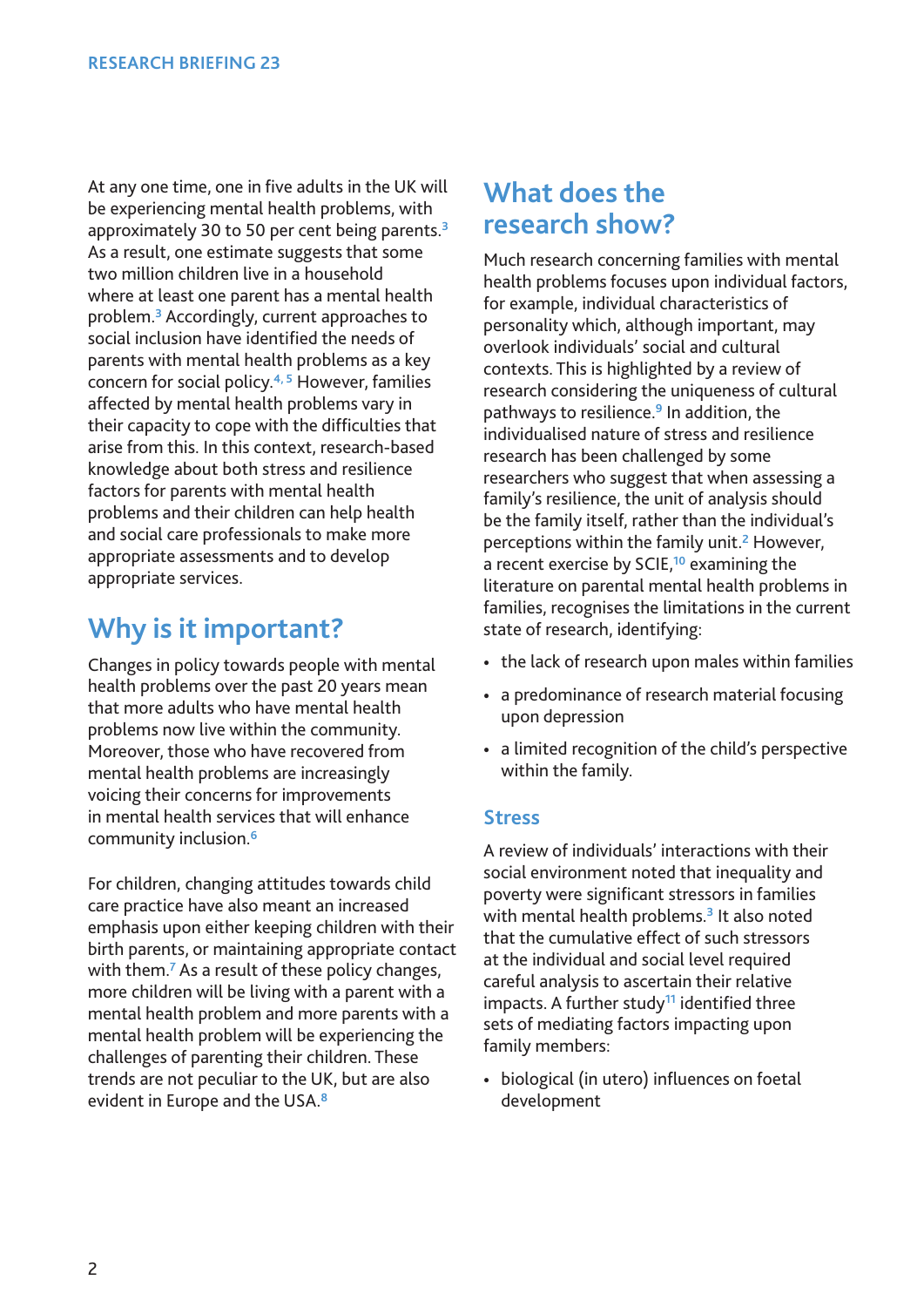At any one time, one in five adults in the UK will be experiencing mental health problems, with approximately 30 to 50 per cent being parents.**<sup>3</sup>** As a result, one estimate suggests that some two million children live in a household where at least one parent has a mental health problem.**<sup>3</sup>** Accordingly, current approaches to social inclusion have identified the needs of parents with mental health problems as a key concern for social policy.**4, 5** However, families affected by mental health problems vary in their capacity to cope with the difficulties that arise from this. In this context, research-based knowledge about both stress and resilience factors for parents with mental health problems and their children can help health and social care professionals to make more appropriate assessments and to develop appropriate services.

### **Why is it important?**

Changes in policy towards people with mental health problems over the past 20 years mean that more adults who have mental health problems now live within the community. Moreover, those who have recovered from mental health problems are increasingly voicing their concerns for improvements in mental health services that will enhance community inclusion.**<sup>6</sup>**

For children, changing attitudes towards child care practice have also meant an increased emphasis upon either keeping children with their birth parents, or maintaining appropriate contact with them.**<sup>7</sup>** As a result of these policy changes, more children will be living with a parent with a mental health problem and more parents with a mental health problem will be experiencing the challenges of parenting their children. These trends are not peculiar to the UK, but are also evident in Europe and the USA.**<sup>8</sup>**

### **What does the research show?**

Much research concerning families with mental health problems focuses upon individual factors, for example, individual characteristics of personality which, although important, may overlook individuals' social and cultural contexts. This is highlighted by a review of research considering the uniqueness of cultural pathways to resilience.**<sup>9</sup>** In addition, the individualised nature of stress and resilience research has been challenged by some researchers who suggest that when assessing a family's resilience, the unit of analysis should be the family itself, rather than the individual's perceptions within the family unit.**<sup>2</sup>** However, a recent exercise by SCIE,**<sup>10</sup>** examining the literature on parental mental health problems in families, recognises the limitations in the current state of research, identifying:

- the lack of research upon males within families
- a predominance of research material focusing upon depression
- a limited recognition of the child's perspective within the family.

#### **Stress**

A review of individuals' interactions with their social environment noted that inequality and poverty were significant stressors in families with mental health problems.**<sup>3</sup>** It also noted that the cumulative effect of such stressors at the individual and social level required careful analysis to ascertain their relative impacts. A further study**<sup>11</sup>** identified three sets of mediating factors impacting upon family members:

• biological (in utero) influences on foetal development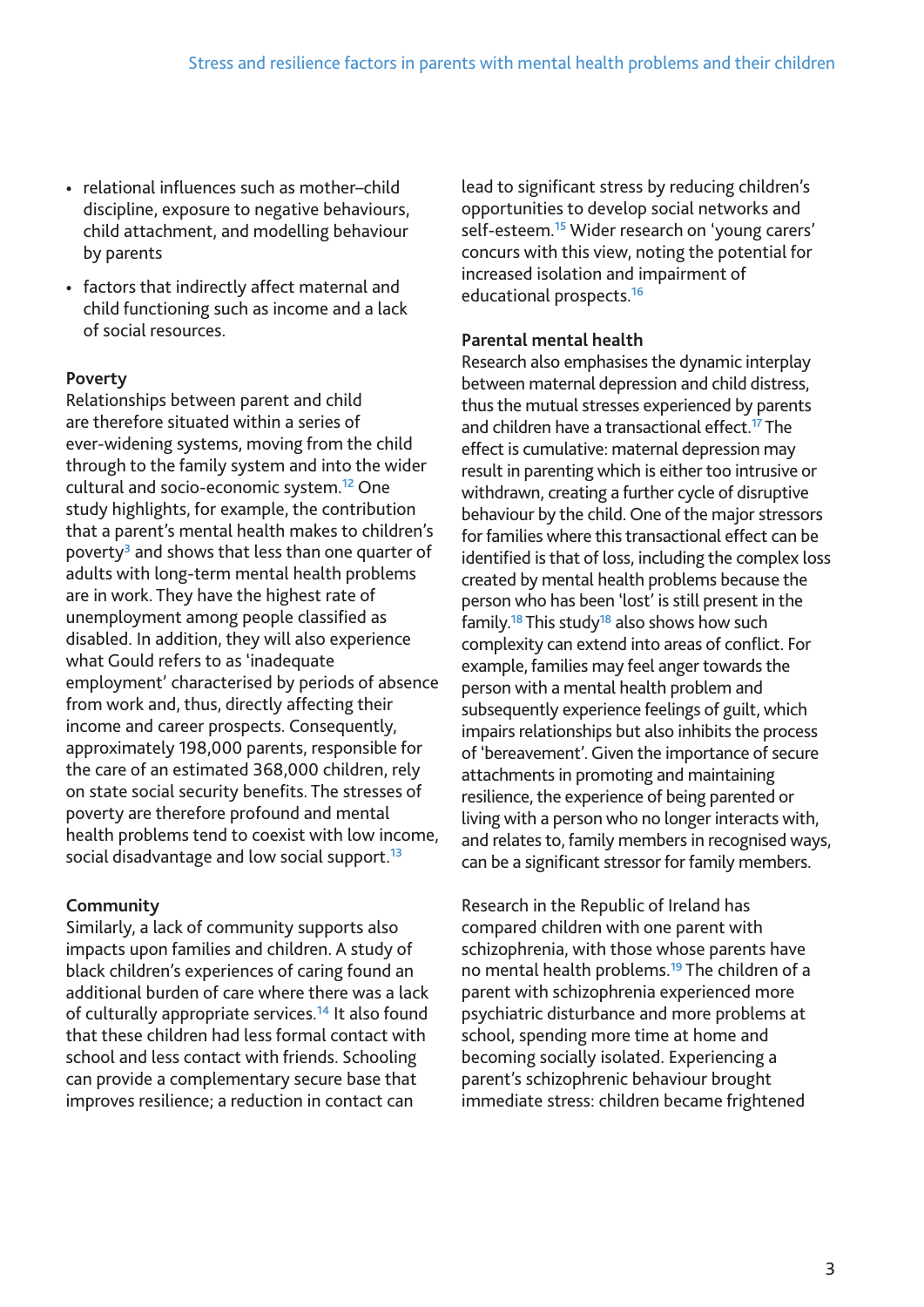- relational influences such as mother–child discipline, exposure to negative behaviours, child attachment, and modelling behaviour by parents
- factors that indirectly affect maternal and child functioning such as income and a lack of social resources.

#### **Poverty**

Relationships between parent and child are therefore situated within a series of ever-widening systems, moving from the child through to the family system and into the wider cultural and socio-economic system.**<sup>12</sup>** One study highlights, for example, the contribution that a parent's mental health makes to children's poverty**<sup>3</sup>** and shows that less than one quarter of adults with long-term mental health problems are in work. They have the highest rate of unemployment among people classified as disabled. In addition, they will also experience what Gould refers to as 'inadequate employment' characterised by periods of absence from work and, thus, directly affecting their income and career prospects. Consequently, approximately 198,000 parents, responsible for the care of an estimated 368,000 children, rely on state social security benefits. The stresses of poverty are therefore profound and mental health problems tend to coexist with low income, social disadvantage and low social support.**<sup>13</sup>**

#### **Community**

Similarly, a lack of community supports also impacts upon families and children. A study of black children's experiences of caring found an additional burden of care where there was a lack of culturally appropriate services.**<sup>14</sup>** It also found that these children had less formal contact with school and less contact with friends. Schooling can provide a complementary secure base that improves resilience; a reduction in contact can

lead to significant stress by reducing children's opportunities to develop social networks and self-esteem.**<sup>15</sup>** Wider research on 'young carers' concurs with this view, noting the potential for increased isolation and impairment of educational prospects.**<sup>16</sup>**

#### **Parental mental health**

Research also emphasises the dynamic interplay between maternal depression and child distress, thus the mutual stresses experienced by parents and children have a transactional effect.**<sup>17</sup>** The effect is cumulative: maternal depression may result in parenting which is either too intrusive or withdrawn, creating a further cycle of disruptive behaviour by the child. One of the major stressors for families where this transactional effect can be identified is that of loss, including the complex loss created by mental health problems because the person who has been 'lost' is still present in the family.**<sup>18</sup>** This study**<sup>18</sup>** also shows how such complexity can extend into areas of conflict. For example, families may feel anger towards the person with a mental health problem and subsequently experience feelings of guilt, which impairs relationships but also inhibits the process of 'bereavement'. Given the importance of secure attachments in promoting and maintaining resilience, the experience of being parented or living with a person who no longer interacts with, and relates to, family members in recognised ways, can be a significant stressor for family members.

Research in the Republic of Ireland has compared children with one parent with schizophrenia, with those whose parents have no mental health problems.**<sup>19</sup>** The children of a parent with schizophrenia experienced more psychiatric disturbance and more problems at school, spending more time at home and becoming socially isolated. Experiencing a parent's schizophrenic behaviour brought immediate stress: children became frightened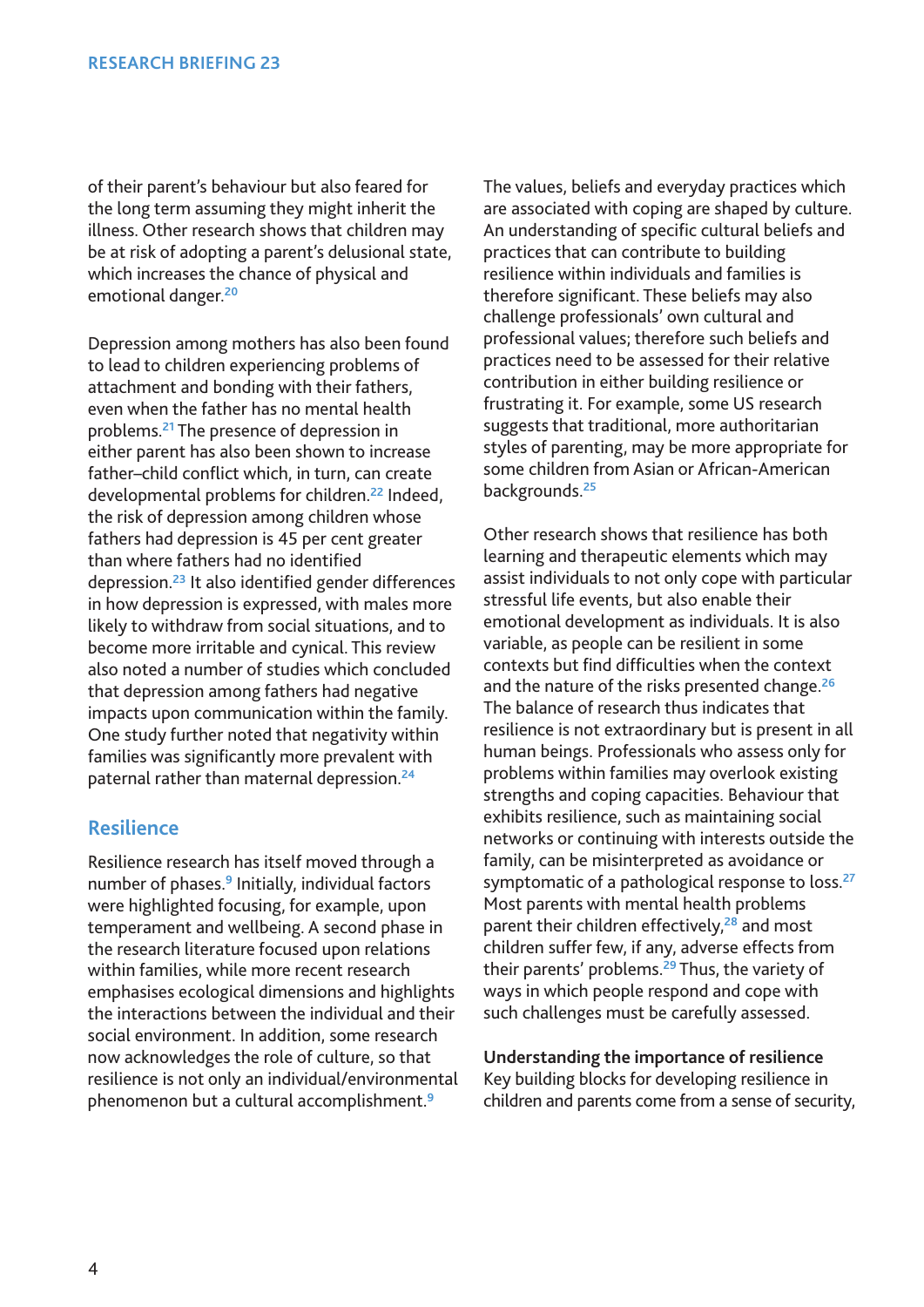of their parent's behaviour but also feared for the long term assuming they might inherit the illness. Other research shows that children may be at risk of adopting a parent's delusional state, which increases the chance of physical and emotional danger.**<sup>20</sup>**

Depression among mothers has also been found to lead to children experiencing problems of attachment and bonding with their fathers, even when the father has no mental health problems.**<sup>21</sup>** The presence of depression in either parent has also been shown to increase father–child conflict which, in turn, can create developmental problems for children.**<sup>22</sup>** Indeed, the risk of depression among children whose fathers had depression is 45 per cent greater than where fathers had no identified depression.**<sup>23</sup>** It also identified gender differences in how depression is expressed, with males more likely to withdraw from social situations, and to become more irritable and cynical. This review also noted a number of studies which concluded that depression among fathers had negative impacts upon communication within the family. One study further noted that negativity within families was significantly more prevalent with paternal rather than maternal depression.**<sup>24</sup>**

#### **Resilience**

Resilience research has itself moved through a number of phases.**<sup>9</sup>** Initially, individual factors were highlighted focusing, for example, upon temperament and wellbeing. A second phase in the research literature focused upon relations within families, while more recent research emphasises ecological dimensions and highlights the interactions between the individual and their social environment. In addition, some research now acknowledges the role of culture, so that resilience is not only an individual/environmental phenomenon but a cultural accomplishment.**<sup>9</sup>**

The values, beliefs and everyday practices which are associated with coping are shaped by culture. An understanding of specific cultural beliefs and practices that can contribute to building resilience within individuals and families is therefore significant. These beliefs may also challenge professionals' own cultural and professional values; therefore such beliefs and practices need to be assessed for their relative contribution in either building resilience or frustrating it. For example, some US research suggests that traditional, more authoritarian styles of parenting, may be more appropriate for some children from Asian or African-American backgrounds.**<sup>25</sup>**

Other research shows that resilience has both learning and therapeutic elements which may assist individuals to not only cope with particular stressful life events, but also enable their emotional development as individuals. It is also variable, as people can be resilient in some contexts but find difficulties when the context and the nature of the risks presented change.**<sup>26</sup>** The balance of research thus indicates that resilience is not extraordinary but is present in all human beings. Professionals who assess only for problems within families may overlook existing strengths and coping capacities. Behaviour that exhibits resilience, such as maintaining social networks or continuing with interests outside the family, can be misinterpreted as avoidance or symptomatic of a pathological response to loss.**<sup>27</sup>** Most parents with mental health problems parent their children effectively,**<sup>28</sup>** and most children suffer few, if any, adverse effects from their parents' problems.**<sup>29</sup>** Thus, the variety of ways in which people respond and cope with such challenges must be carefully assessed.

**Understanding the importance of resilience** Key building blocks for developing resilience in children and parents come from a sense of security,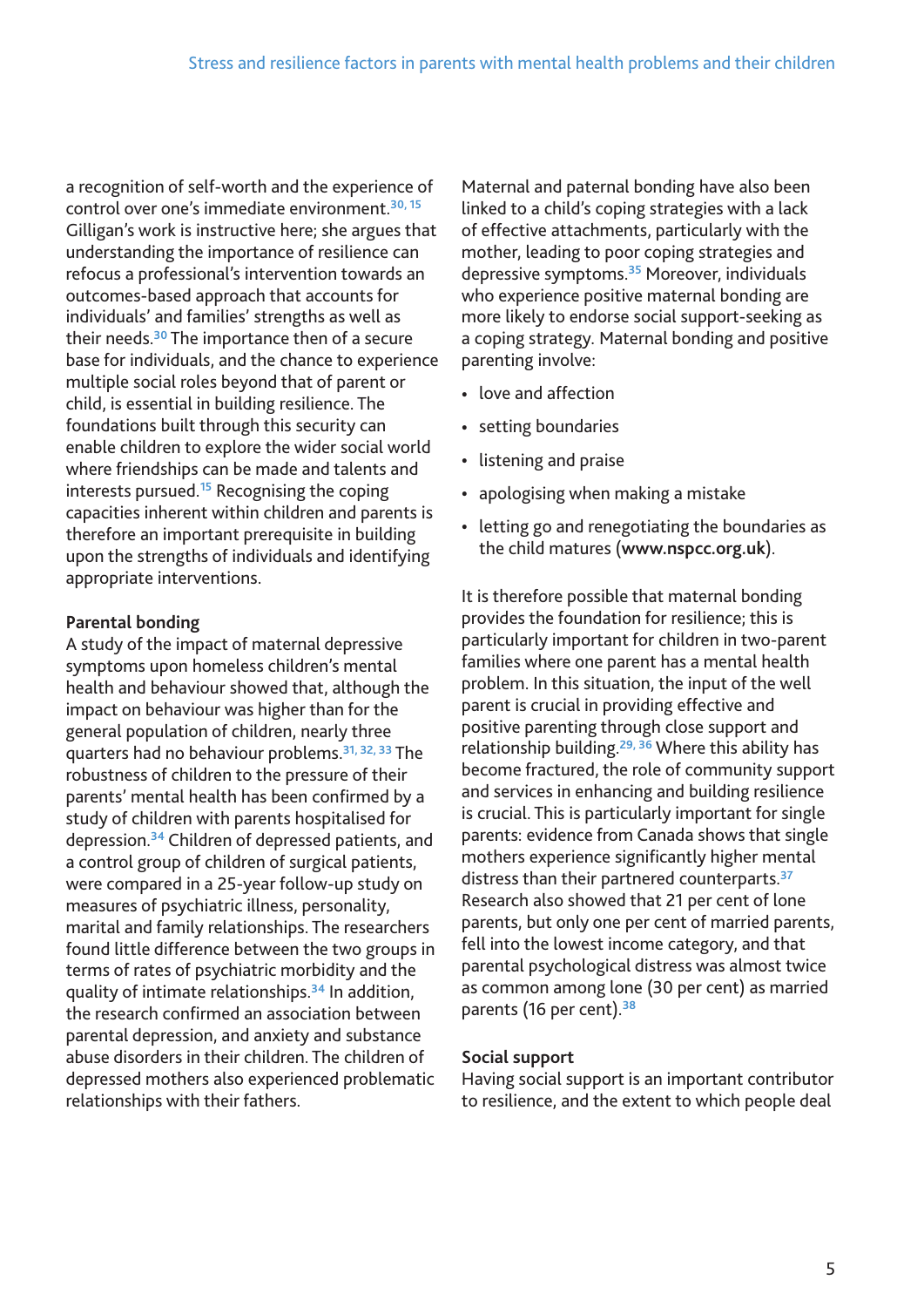a recognition of self-worth and the experience of control over one's immediate environment.**30, 15** Gilligan's work is instructive here; she argues that understanding the importance of resilience can refocus a professional's intervention towards an outcomes-based approach that accounts for individuals' and families' strengths as well as their needs.**<sup>30</sup>** The importance then of a secure base for individuals, and the chance to experience multiple social roles beyond that of parent or child, is essential in building resilience. The foundations built through this security can enable children to explore the wider social world where friendships can be made and talents and interests pursued.**<sup>15</sup>** Recognising the coping capacities inherent within children and parents is therefore an important prerequisite in building upon the strengths of individuals and identifying appropriate interventions.

#### **Parental bonding**

A study of the impact of maternal depressive symptoms upon homeless children's mental health and behaviour showed that, although the impact on behaviour was higher than for the general population of children, nearly three quarters had no behaviour problems.**31, 32, 33** The robustness of children to the pressure of their parents' mental health has been confirmed by a study of children with parents hospitalised for depression.**<sup>34</sup>** Children of depressed patients, and a control group of children of surgical patients, were compared in a 25-year follow-up study on measures of psychiatric illness, personality, marital and family relationships. The researchers found little difference between the two groups in terms of rates of psychiatric morbidity and the quality of intimate relationships.**<sup>34</sup>** In addition, the research confirmed an association between parental depression, and anxiety and substance abuse disorders in their children. The children of depressed mothers also experienced problematic relationships with their fathers.

Maternal and paternal bonding have also been linked to a child's coping strategies with a lack of effective attachments, particularly with the mother, leading to poor coping strategies and depressive symptoms.**<sup>35</sup>** Moreover, individuals who experience positive maternal bonding are more likely to endorse social support-seeking as a coping strategy. Maternal bonding and positive parenting involve:

- love and affection
- setting boundaries
- listening and praise
- apologising when making a mistake
- letting go and renegotiating the boundaries as the child matures (**www.nspcc.org.uk**).

It is therefore possible that maternal bonding provides the foundation for resilience; this is particularly important for children in two-parent families where one parent has a mental health problem. In this situation, the input of the well parent is crucial in providing effective and positive parenting through close support and relationship building.**29, 36** Where this ability has become fractured, the role of community support and services in enhancing and building resilience is crucial. This is particularly important for single parents: evidence from Canada shows that single mothers experience significantly higher mental distress than their partnered counterparts.**<sup>37</sup>** Research also showed that 21 per cent of lone parents, but only one per cent of married parents, fell into the lowest income category, and that parental psychological distress was almost twice as common among lone (30 per cent) as married parents (16 per cent).**<sup>38</sup>**

#### **Social support**

Having social support is an important contributor to resilience, and the extent to which people deal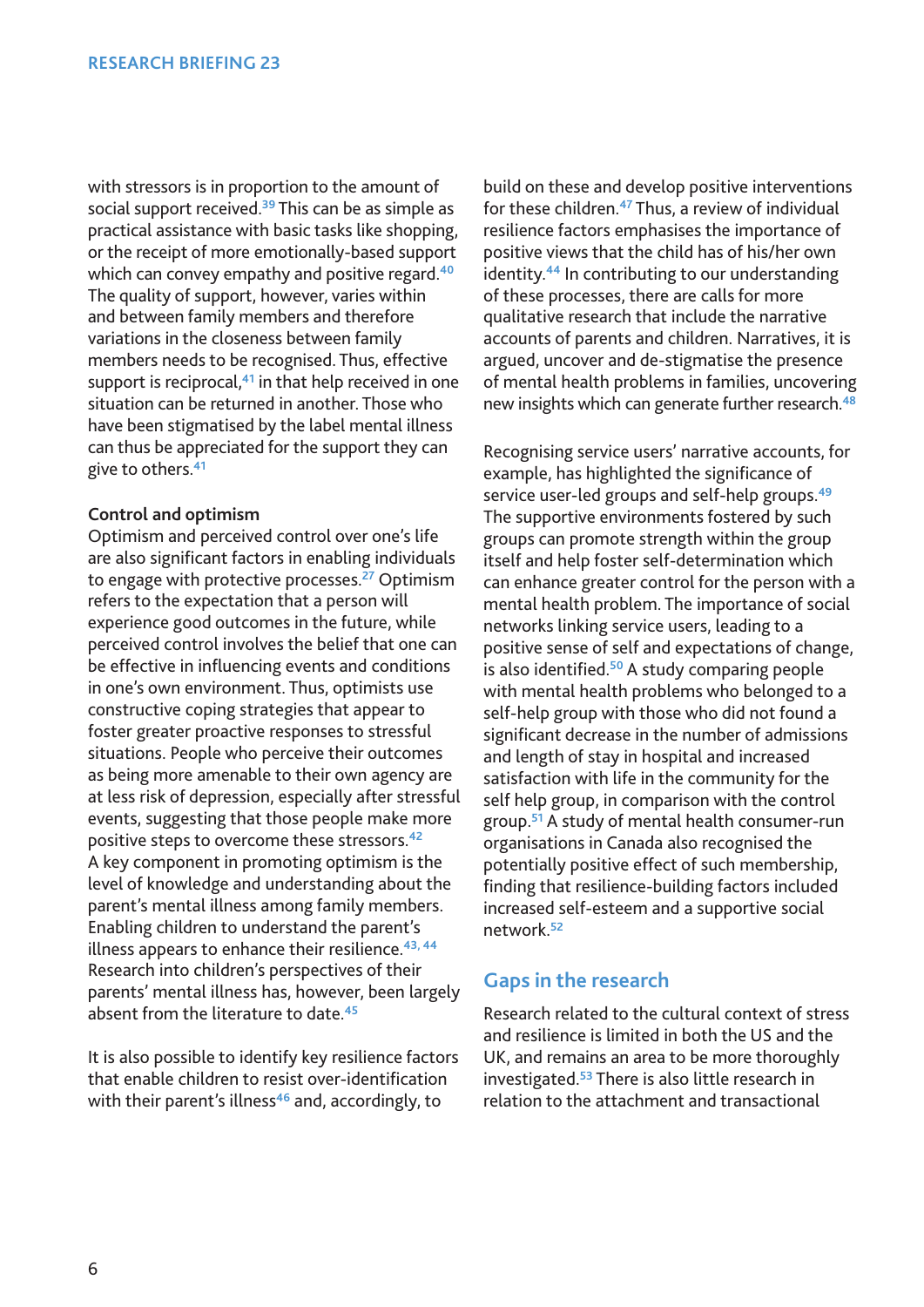with stressors is in proportion to the amount of social support received.**<sup>39</sup>** This can be as simple as practical assistance with basic tasks like shopping, or the receipt of more emotionally-based support which can convey empathy and positive regard.**<sup>40</sup>** The quality of support, however, varies within and between family members and therefore variations in the closeness between family members needs to be recognised. Thus, effective support is reciprocal,**<sup>41</sup>** in that help received in one situation can be returned in another. Those who have been stigmatised by the label mental illness can thus be appreciated for the support they can give to others.**<sup>41</sup>**

#### **Control and optimism**

Optimism and perceived control over one's life are also significant factors in enabling individuals to engage with protective processes.**<sup>27</sup>** Optimism refers to the expectation that a person will experience good outcomes in the future, while perceived control involves the belief that one can be effective in influencing events and conditions in one's own environment. Thus, optimists use constructive coping strategies that appear to foster greater proactive responses to stressful situations. People who perceive their outcomes as being more amenable to their own agency are at less risk of depression, especially after stressful events, suggesting that those people make more positive steps to overcome these stressors.**<sup>42</sup>** A key component in promoting optimism is the level of knowledge and understanding about the parent's mental illness among family members. Enabling children to understand the parent's illness appears to enhance their resilience.**43, 44** Research into children's perspectives of their parents' mental illness has, however, been largely absent from the literature to date.**<sup>45</sup>**

It is also possible to identify key resilience factors that enable children to resist over-identification with their parent's illness**<sup>46</sup>** and, accordingly, to

build on these and develop positive interventions for these children.**<sup>47</sup>** Thus, a review of individual resilience factors emphasises the importance of positive views that the child has of his/her own identity.**<sup>44</sup>** In contributing to our understanding of these processes, there are calls for more qualitative research that include the narrative accounts of parents and children. Narratives, it is argued, uncover and de-stigmatise the presence of mental health problems in families, uncovering new insights which can generate further research.**<sup>48</sup>**

Recognising service users' narrative accounts, for example, has highlighted the significance of service user-led groups and self-help groups.**<sup>49</sup>** The supportive environments fostered by such groups can promote strength within the group itself and help foster self-determination which can enhance greater control for the person with a mental health problem. The importance of social networks linking service users, leading to a positive sense of self and expectations of change, is also identified.**<sup>50</sup>** A study comparing people with mental health problems who belonged to a self-help group with those who did not found a significant decrease in the number of admissions and length of stay in hospital and increased satisfaction with life in the community for the self help group, in comparison with the control group.**<sup>51</sup>** A study of mental health consumer-run organisations in Canada also recognised the potentially positive effect of such membership, finding that resilience-building factors included increased self-esteem and a supportive social network.**<sup>52</sup>**

#### **Gaps in the research**

Research related to the cultural context of stress and resilience is limited in both the US and the UK, and remains an area to be more thoroughly investigated.**<sup>53</sup>** There is also little research in relation to the attachment and transactional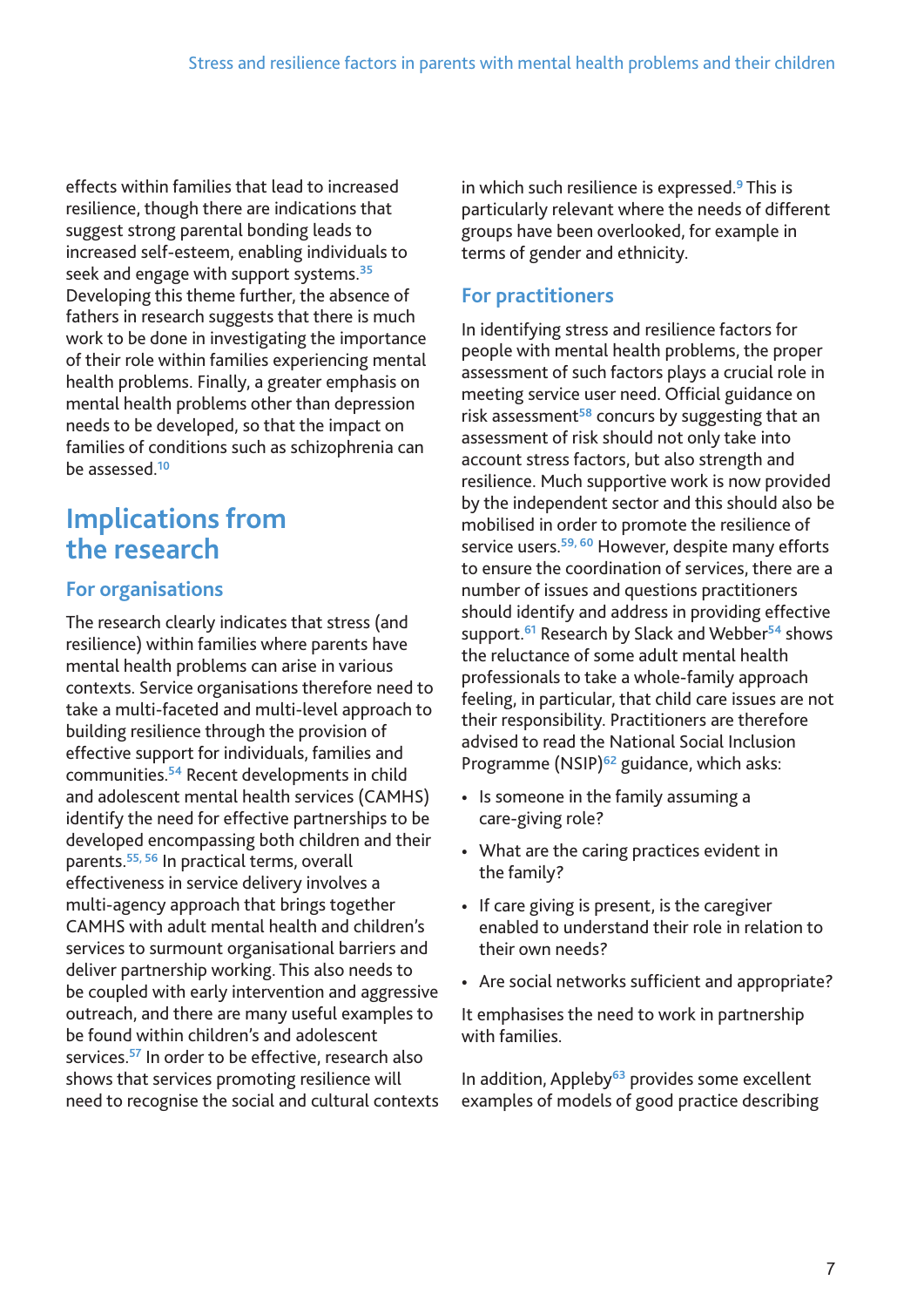effects within families that lead to increased resilience, though there are indications that suggest strong parental bonding leads to increased self-esteem, enabling individuals to seek and engage with support systems.**<sup>35</sup>** Developing this theme further, the absence of fathers in research suggests that there is much work to be done in investigating the importance of their role within families experiencing mental health problems. Finally, a greater emphasis on mental health problems other than depression needs to be developed, so that the impact on families of conditions such as schizophrenia can be assessed.**<sup>10</sup>**

### **Implications from the research**

#### **For organisations**

The research clearly indicates that stress (and resilience) within families where parents have mental health problems can arise in various contexts. Service organisations therefore need to take a multi-faceted and multi-level approach to building resilience through the provision of effective support for individuals, families and communities.**<sup>54</sup>** Recent developments in child and adolescent mental health services (CAMHS) identify the need for effective partnerships to be developed encompassing both children and their parents.**55, 56** In practical terms, overall effectiveness in service delivery involves a multi-agency approach that brings together CAMHS with adult mental health and children's services to surmount organisational barriers and deliver partnership working. This also needs to be coupled with early intervention and aggressive outreach, and there are many useful examples to be found within children's and adolescent services.**<sup>57</sup>** In order to be effective, research also shows that services promoting resilience will need to recognise the social and cultural contexts

in which such resilience is expressed.**<sup>9</sup>** This is particularly relevant where the needs of different groups have been overlooked, for example in terms of gender and ethnicity.

#### **For practitioners**

In identifying stress and resilience factors for people with mental health problems, the proper assessment of such factors plays a crucial role in meeting service user need. Official guidance on risk assessment**<sup>58</sup>** concurs by suggesting that an assessment of risk should not only take into account stress factors, but also strength and resilience. Much supportive work is now provided by the independent sector and this should also be mobilised in order to promote the resilience of service users.**59, 60** However, despite many efforts to ensure the coordination of services, there are a number of issues and questions practitioners should identify and address in providing effective support.**<sup>61</sup>** Research by Slack and Webber**<sup>54</sup>** shows the reluctance of some adult mental health professionals to take a whole-family approach feeling, in particular, that child care issues are not their responsibility. Practitioners are therefore advised to read the National Social Inclusion Programme (NSIP)**<sup>62</sup>** guidance, which asks:

- Is someone in the family assuming a care-giving role?
- What are the caring practices evident in the family?
- If care giving is present, is the caregiver enabled to understand their role in relation to their own needs?
- Are social networks sufficient and appropriate?

It emphasises the need to work in partnership with families.

In addition, Appleby**<sup>63</sup>** provides some excellent examples of models of good practice describing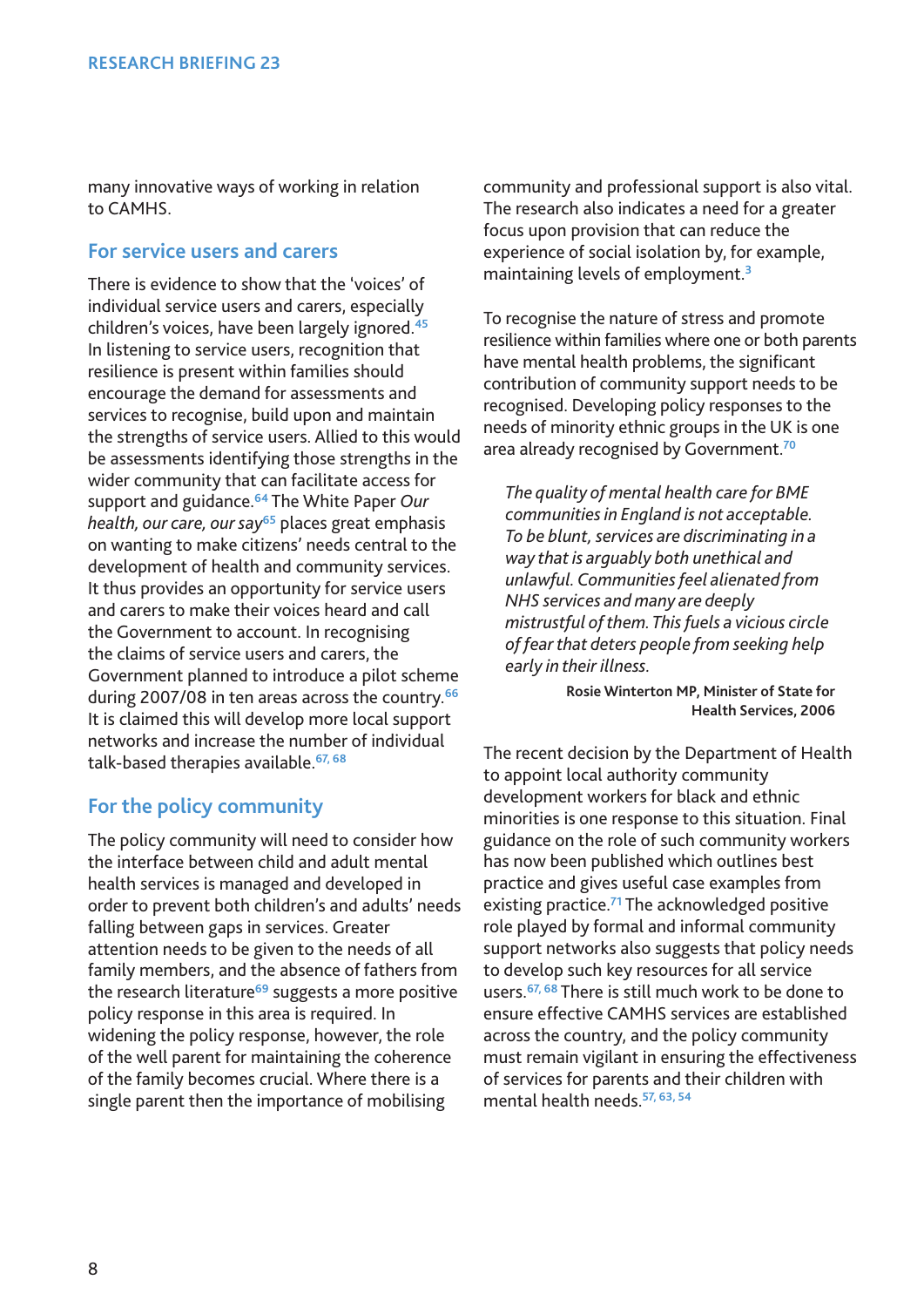many innovative ways of working in relation to CAMHS.

#### **For service users and carers**

There is evidence to show that the 'voices' of individual service users and carers, especially children's voices, have been largely ignored.**<sup>45</sup>** In listening to service users, recognition that resilience is present within families should encourage the demand for assessments and services to recognise, build upon and maintain the strengths of service users. Allied to this would be assessments identifying those strengths in the wider community that can facilitate access for support and guidance.**<sup>64</sup>** The White Paper *Our health, our care, our say***<sup>65</sup>** places great emphasis on wanting to make citizens' needs central to the development of health and community services. It thus provides an opportunity for service users and carers to make their voices heard and call the Government to account. In recognising the claims of service users and carers, the Government planned to introduce a pilot scheme during 2007/08 in ten areas across the country.**<sup>66</sup>** It is claimed this will develop more local support networks and increase the number of individual talk-based therapies available.**67, 68**

#### **For the policy community**

The policy community will need to consider how the interface between child and adult mental health services is managed and developed in order to prevent both children's and adults' needs falling between gaps in services. Greater attention needs to be given to the needs of all family members, and the absence of fathers from the research literature**<sup>69</sup>** suggests a more positive policy response in this area is required. In widening the policy response, however, the role of the well parent for maintaining the coherence of the family becomes crucial. Where there is a single parent then the importance of mobilising

community and professional support is also vital. The research also indicates a need for a greater focus upon provision that can reduce the experience of social isolation by, for example, maintaining levels of employment.**<sup>3</sup>**

To recognise the nature of stress and promote resilience within families where one or both parents have mental health problems, the significant contribution of community support needs to be recognised. Developing policy responses to the needs of minority ethnic groups in the UK is one area already recognised by Government.**<sup>70</sup>**

*The quality of mental health care for BME communities in England is not acceptable. To be blunt, services are discriminating in a way that is arguably both unethical and unlawful. Communities feel alienated from NHS services and many are deeply mistrustful of them. This fuels a vicious circle of fear that deters people from seeking help early in their illness.*

> **Rosie Winterton MP, Minister of State for Health Services, 2006**

The recent decision by the Department of Health to appoint local authority community development workers for black and ethnic minorities is one response to this situation. Final guidance on the role of such community workers has now been published which outlines best practice and gives useful case examples from existing practice.**<sup>71</sup>** The acknowledged positive role played by formal and informal community support networks also suggests that policy needs to develop such key resources for all service users.**67, 68** There is still much work to be done to ensure effective CAMHS services are established across the country, and the policy community must remain vigilant in ensuring the effectiveness of services for parents and their children with mental health needs.**57, 63, 54**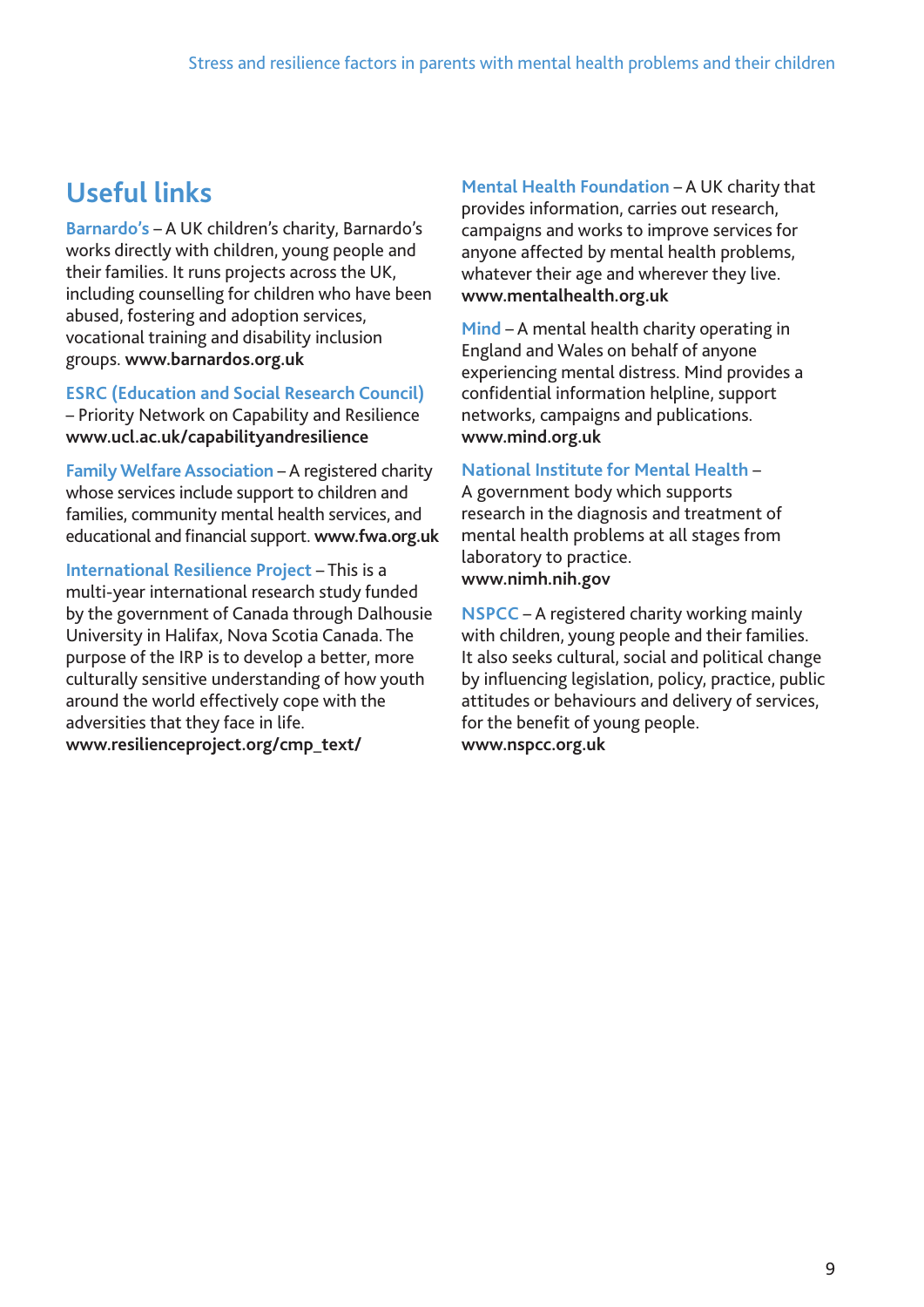### **Useful links**

**Barnardo's** – A UK children's charity, Barnardo's works directly with children, young people and their families. It runs projects across the UK, including counselling for children who have been abused, fostering and adoption services, vocational training and disability inclusion groups. **www.barnardos.org.uk**

**ESRC (Education and Social Research Council)** – Priority Network on Capability and Resilience **www.ucl.ac.uk/capabilityandresilience**

**Family Welfare Association** – A registered charity whose services include support to children and families, community mental health services, and educational and financial support. **www.fwa.org.uk**

**International Resilience Project** – This is a multi-year international research study funded by the government of Canada through Dalhousie University in Halifax, Nova Scotia Canada. The purpose of the IRP is to develop a better, more culturally sensitive understanding of how youth around the world effectively cope with the adversities that they face in life. **www.resilienceproject.org/cmp\_text/** 

**Mental Health Foundation** – A UK charity that provides information, carries out research, campaigns and works to improve services for anyone affected by mental health problems, whatever their age and wherever they live. **www.mentalhealth.org.uk**

**Mind** – A mental health charity operating in England and Wales on behalf of anyone experiencing mental distress. Mind provides a confidential information helpline, support networks, campaigns and publications. **www.mind.org.uk** 

#### **National Institute for Mental Health** –

A government body which supports research in the diagnosis and treatment of mental health problems at all stages from laboratory to practice. **www.nimh.nih.gov** 

**NSPCC** – A registered charity working mainly with children, young people and their families. It also seeks cultural, social and political change by influencing legislation, policy, practice, public attitudes or behaviours and delivery of services, for the benefit of young people. **www.nspcc.org.uk**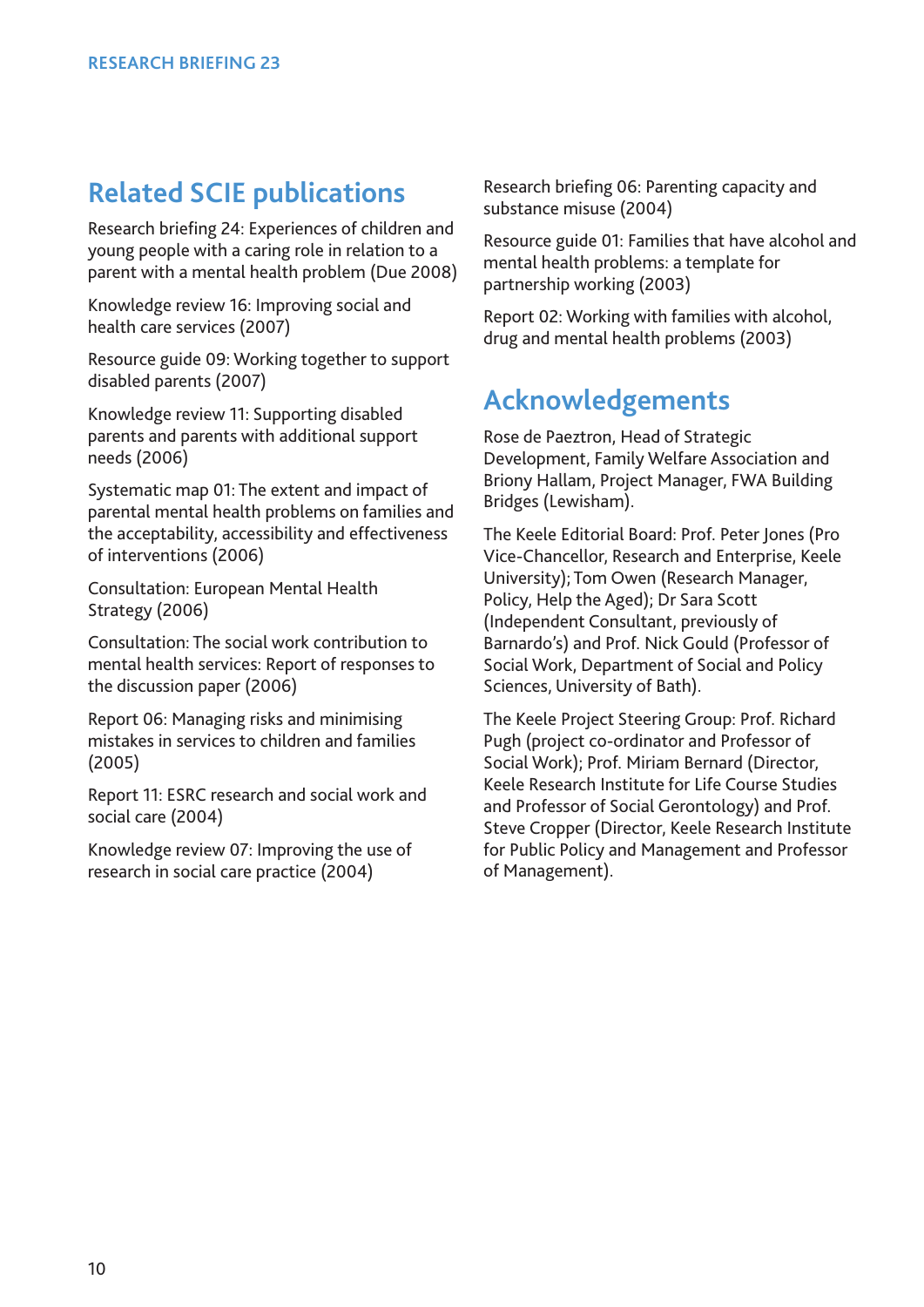### **Related SCIE publications**

Research briefing 24: Experiences of children and young people with a caring role in relation to a parent with a mental health problem (Due 2008)

Knowledge review 16: Improving social and health care services (2007)

Resource guide 09: Working together to support disabled parents (2007)

Knowledge review 11: Supporting disabled parents and parents with additional support needs (2006)

Systematic map 01: The extent and impact of parental mental health problems on families and the acceptability, accessibility and effectiveness of interventions (2006)

Consultation: European Mental Health Strategy (2006)

Consultation: The social work contribution to mental health services: Report of responses to the discussion paper (2006)

Report 06: Managing risks and minimising mistakes in services to children and families (2005)

Report 11: ESRC research and social work and social care (2004)

Knowledge review 07: Improving the use of research in social care practice (2004)

Research briefing 06: Parenting capacity and substance misuse (2004)

Resource guide 01: Families that have alcohol and mental health problems: a template for partnership working (2003)

Report 02: Working with families with alcohol, drug and mental health problems (2003)

### **Acknowledgements**

Rose de Paeztron, Head of Strategic Development, Family Welfare Association and Briony Hallam, Project Manager, FWA Building Bridges (Lewisham).

The Keele Editorial Board: Prof. Peter Jones (Pro Vice-Chancellor, Research and Enterprise, Keele University); Tom Owen (Research Manager, Policy, Help the Aged); Dr Sara Scott (Independent Consultant, previously of Barnardo's) and Prof. Nick Gould (Professor of Social Work, Department of Social and Policy Sciences, University of Bath).

The Keele Project Steering Group: Prof. Richard Pugh (project co-ordinator and Professor of Social Work); Prof. Miriam Bernard (Director, Keele Research Institute for Life Course Studies and Professor of Social Gerontology) and Prof. Steve Cropper (Director, Keele Research Institute for Public Policy and Management and Professor of Management).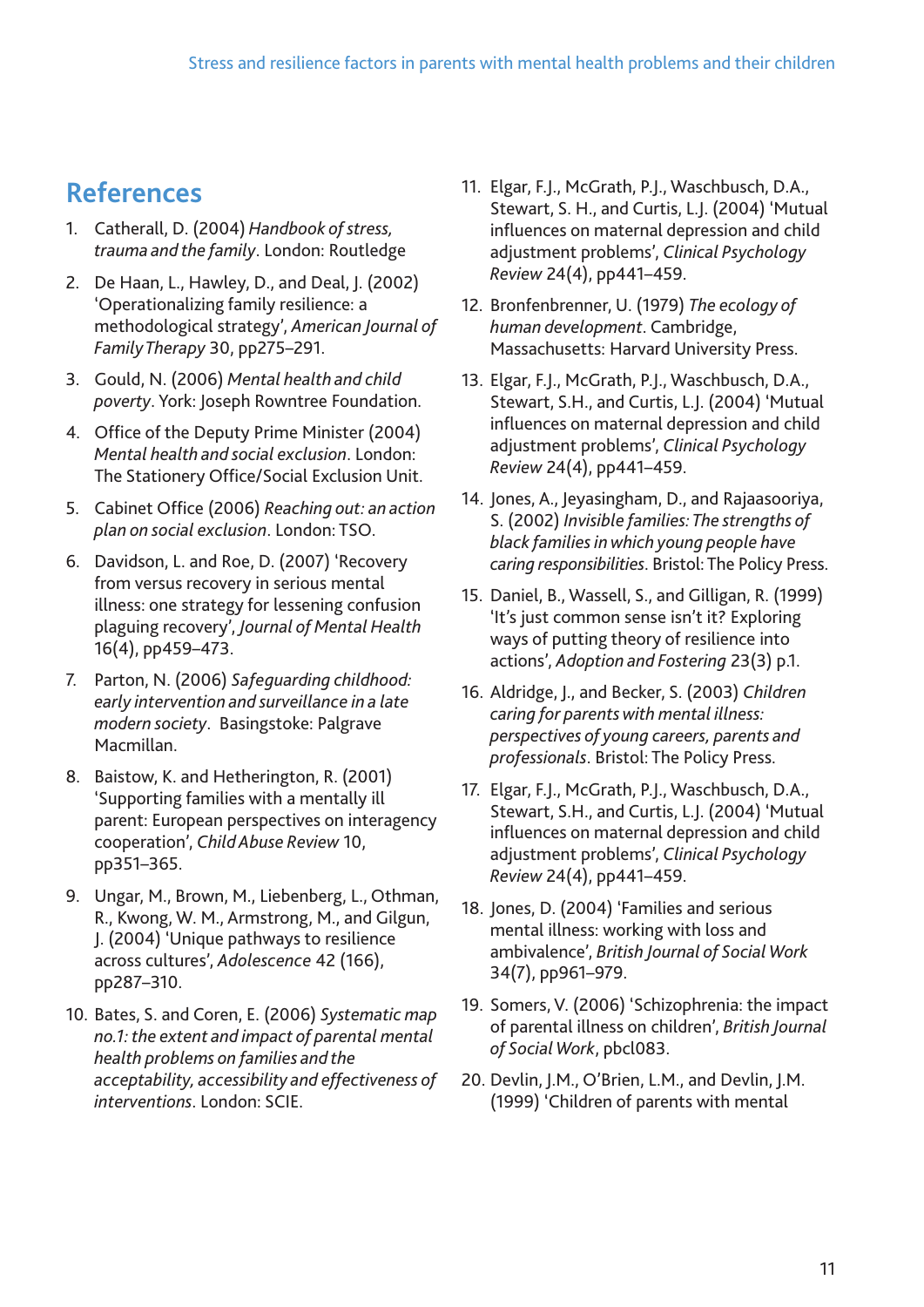### **References**

- 1. Catherall, D. (2004) *Handbook of stress, trauma and the family*. London: Routledge
- 2. De Haan, L., Hawley, D., and Deal, J. (2002) 'Operationalizing family resilience: a methodological strategy', *American Journal of Family Therapy* 30, pp275–291.
- 3. Gould, N. (2006) *Mental health and child poverty*. York: Joseph Rowntree Foundation.
- 4. Office of the Deputy Prime Minister (2004) *Mental health and social exclusion*. London: The Stationery Office/Social Exclusion Unit.
- 5. Cabinet Office (2006) *Reaching out: an action plan on social exclusion*. London: TSO.
- 6. Davidson, L. and Roe, D. (2007) 'Recovery from versus recovery in serious mental illness: one strategy for lessening confusion plaguing recovery', *Journal of Mental Health* 16(4), pp459–473.
- 7. Parton, N. (2006) *Safeguarding childhood: early intervention and surveillance in a late modern society*. Basingstoke: Palgrave Macmillan.
- 8. Baistow, K. and Hetherington, R. (2001) 'Supporting families with a mentally ill parent: European perspectives on interagency cooperation', *Child Abuse Review* 10, pp351–365.
- 9. Ungar, M., Brown, M., Liebenberg, L., Othman, R., Kwong, W. M., Armstrong, M., and Gilgun, J. (2004) 'Unique pathways to resilience across cultures', *Adolescence* 42 (166), pp287–310.
- 10. Bates, S. and Coren, E. (2006) *Systematic map no.1: the extent and impact of parental mental health problems on families and the acceptability, accessibility and effectiveness of interventions*. London: SCIE.
- 11. Elgar, F.J., McGrath, P.J., Waschbusch, D.A., Stewart, S. H., and Curtis, L.J. (2004) 'Mutual influences on maternal depression and child adjustment problems', *Clinical Psychology Review* 24(4), pp441–459.
- 12. Bronfenbrenner, U. (1979) *The ecology of human development*. Cambridge, Massachusetts: Harvard University Press.
- 13. Elgar, F.J., McGrath, P.J., Waschbusch, D.A., Stewart, S.H., and Curtis, L.J. (2004) 'Mutual influences on maternal depression and child adjustment problems', *Clinical Psychology Review* 24(4), pp441–459.
- 14. Jones, A., Jeyasingham, D., and Rajaasooriya, S. (2002) *Invisible families: The strengths of black families in which young people have caring responsibilities*. Bristol: The Policy Press.
- 15. Daniel, B., Wassell, S., and Gilligan, R. (1999) 'It's just common sense isn't it? Exploring ways of putting theory of resilience into actions', *Adoption and Fostering* 23(3) p.1.
- 16. Aldridge, J., and Becker, S. (2003) *Children caring for parents with mental illness: perspectives of young careers, parents and professionals*. Bristol: The Policy Press.
- 17. Elgar, F.J., McGrath, P.J., Waschbusch, D.A., Stewart, S.H., and Curtis, L.J. (2004) 'Mutual influences on maternal depression and child adjustment problems', *Clinical Psychology Review* 24(4), pp441–459.
- 18. Jones, D. (2004) 'Families and serious mental illness: working with loss and ambivalence', *British Journal of Social Work* 34(7), pp961–979.
- 19. Somers, V. (2006) 'Schizophrenia: the impact of parental illness on children', *British Journal of Social Work*, pbcl083.
- 20. Devlin, J.M., O'Brien, L.M., and Devlin, J.M. (1999) 'Children of parents with mental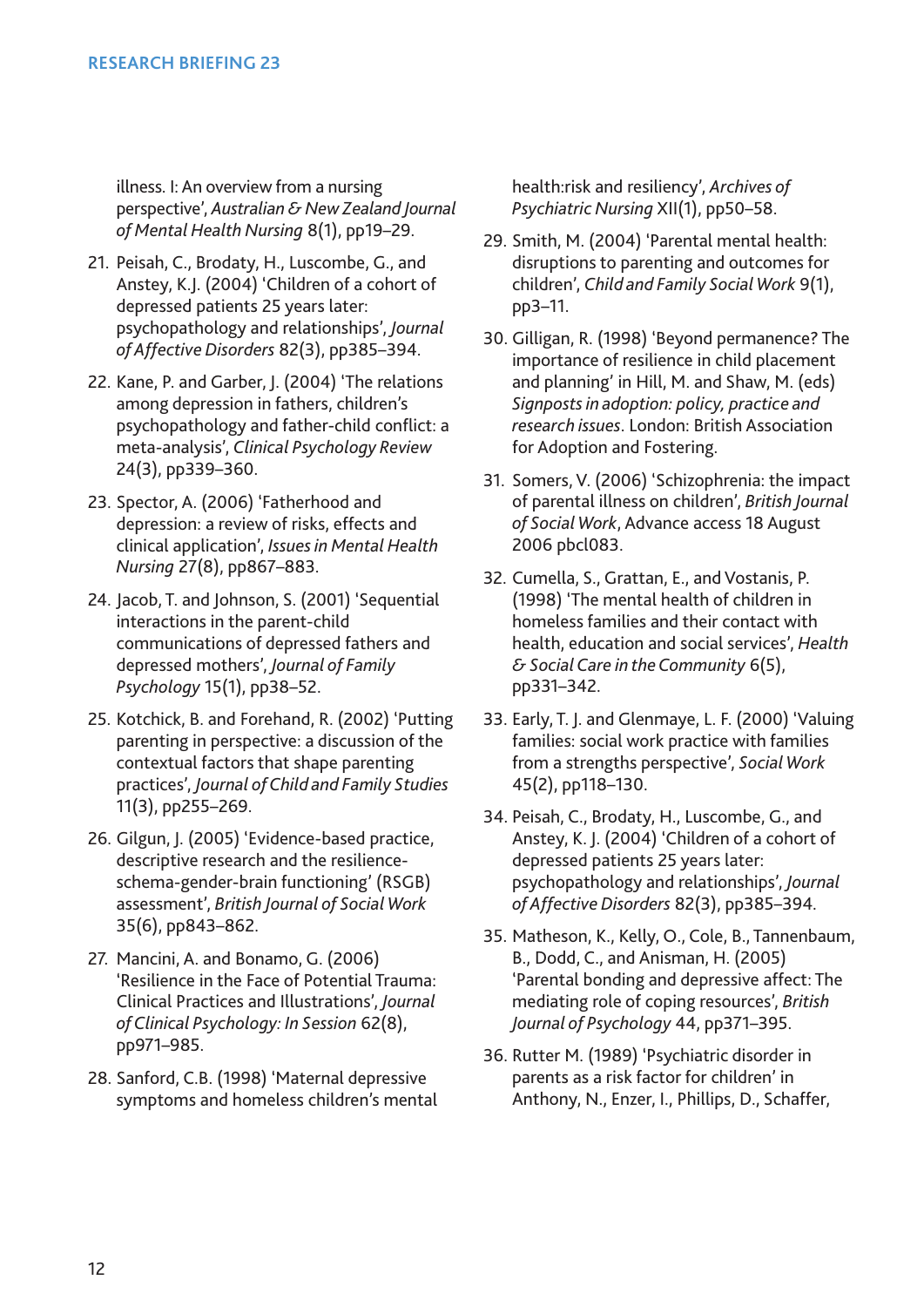illness. I: An overview from a nursing perspective', *Australian & New Zealand Journal of Mental Health Nursing* 8(1), pp19–29.

- 21. Peisah, C., Brodaty, H., Luscombe, G., and Anstey, K.J. (2004) 'Children of a cohort of depressed patients 25 years later: psychopathology and relationships', *Journal of Affective Disorders* 82(3), pp385–394.
- 22. Kane, P. and Garber, J. (2004) 'The relations among depression in fathers, children's psychopathology and father-child conflict: a meta-analysis', *Clinical Psychology Review* 24(3), pp339–360.
- 23. Spector, A. (2006) 'Fatherhood and depression: a review of risks, effects and clinical application', *Issues in Mental Health Nursing* 27(8), pp867–883.
- 24. Jacob, T. and Johnson, S. (2001) 'Sequential interactions in the parent-child communications of depressed fathers and depressed mothers', *Journal of Family Psychology* 15(1), pp38–52.
- 25. Kotchick, B. and Forehand, R. (2002) 'Putting parenting in perspective: a discussion of the contextual factors that shape parenting practices', *Journal of Child and Family Studies* 11(3), pp255–269.
- 26. Gilgun, J. (2005) 'Evidence-based practice, descriptive research and the resilienceschema-gender-brain functioning' (RSGB) assessment', *British Journal of Social Work* 35(6), pp843–862.
- 27. Mancini, A. and Bonamo, G. (2006) 'Resilience in the Face of Potential Trauma: Clinical Practices and Illustrations', *Journal of Clinical Psychology: In Session* 62(8), pp971–985.
- 28. Sanford, C.B. (1998) 'Maternal depressive symptoms and homeless children's mental

health:risk and resiliency', *Archives of Psychiatric Nursing* XII(1), pp50–58.

- 29. Smith, M. (2004) 'Parental mental health: disruptions to parenting and outcomes for children', *Child and Family Social Work* 9(1), pp3–11.
- 30. Gilligan, R. (1998) 'Beyond permanence? The importance of resilience in child placement and planning' in Hill, M. and Shaw, M. (eds) *Signposts in adoption: policy, practice and research issues*. London: British Association for Adoption and Fostering.
- 31. Somers, V. (2006) 'Schizophrenia: the impact of parental illness on children', *British Journal of Social Work*, Advance access 18 August 2006 pbcl083.
- 32. Cumella, S., Grattan, E., and Vostanis, P. (1998) 'The mental health of children in homeless families and their contact with health, education and social services', *Health & Social Care in the Community* 6(5), pp331–342.
- 33. Early, T. J. and Glenmaye, L. F. (2000) 'Valuing families: social work practice with families from a strengths perspective', *Social Work* 45(2), pp118–130.
- 34. Peisah, C., Brodaty, H., Luscombe, G., and Anstey, K. J. (2004) 'Children of a cohort of depressed patients 25 years later: psychopathology and relationships', *Journal of Affective Disorders* 82(3), pp385–394.
- 35. Matheson, K., Kelly, O., Cole, B., Tannenbaum, B., Dodd, C., and Anisman, H. (2005) 'Parental bonding and depressive affect: The mediating role of coping resources', *British Journal of Psychology* 44, pp371–395.
- 36. Rutter M. (1989) 'Psychiatric disorder in parents as a risk factor for children' in Anthony, N., Enzer, I., Phillips, D., Schaffer,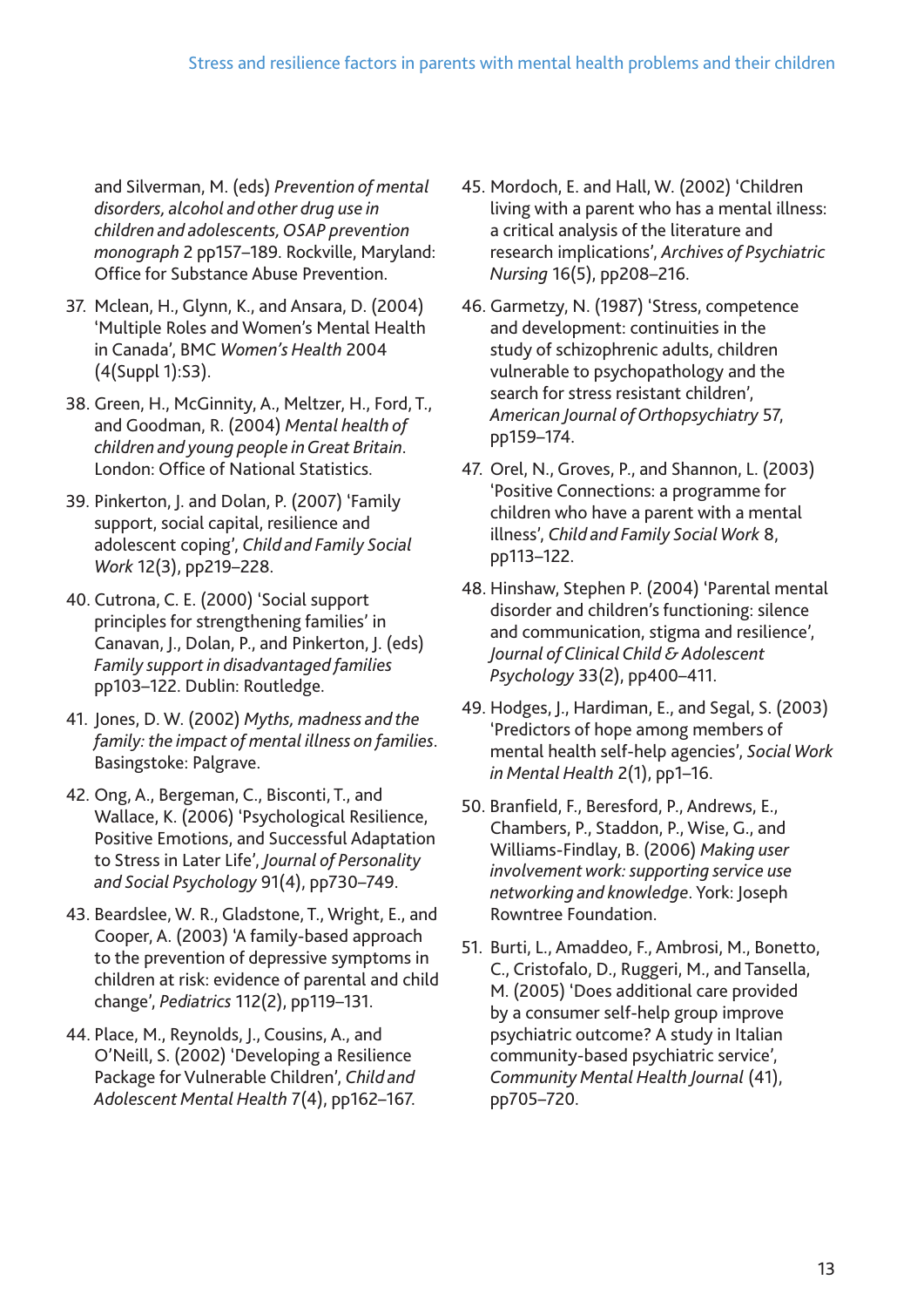and Silverman, M. (eds) *Prevention of mental disorders, alcohol and other drug use in children and adolescents, OSAP prevention monograph* 2 pp157–189. Rockville, Maryland: Office for Substance Abuse Prevention.

- 37. Mclean, H., Glynn, K., and Ansara, D. (2004) 'Multiple Roles and Women's Mental Health in Canada', BMC *Women's Health* 2004 (4(Suppl 1):S3).
- 38. Green, H., McGinnity, A., Meltzer, H., Ford, T., and Goodman, R. (2004) *Mental health of children and young people in Great Britain*. London: Office of National Statistics.
- 39. Pinkerton, J. and Dolan, P. (2007) 'Family support, social capital, resilience and adolescent coping', *Child and Family Social Work* 12(3), pp219–228.
- 40. Cutrona, C. E. (2000) 'Social support principles for strengthening families' in Canavan, J., Dolan, P., and Pinkerton, J. (eds) *Family support in disadvantaged families* pp103–122. Dublin: Routledge.
- 41. Jones, D. W. (2002) *Myths, madness and the family: the impact of mental illness on families*. Basingstoke: Palgrave.
- 42. Ong, A., Bergeman, C., Bisconti, T., and Wallace, K. (2006) 'Psychological Resilience, Positive Emotions, and Successful Adaptation to Stress in Later Life', *Journal of Personality and Social Psychology* 91(4), pp730–749.
- 43. Beardslee, W. R., Gladstone, T., Wright, E., and Cooper, A. (2003) 'A family-based approach to the prevention of depressive symptoms in children at risk: evidence of parental and child change', *Pediatrics* 112(2), pp119–131.
- 44. Place, M., Reynolds, J., Cousins, A., and O'Neill, S. (2002) 'Developing a Resilience Package for Vulnerable Children', *Child and Adolescent Mental Health* 7(4), pp162–167.
- 45. Mordoch, E. and Hall, W. (2002) 'Children living with a parent who has a mental illness: a critical analysis of the literature and research implications', *Archives of Psychiatric Nursing* 16(5), pp208–216.
- 46. Garmetzy, N. (1987) 'Stress, competence and development: continuities in the study of schizophrenic adults, children vulnerable to psychopathology and the search for stress resistant children', *American Journal of Orthopsychiatry* 57, pp159–174.
- 47. Orel, N., Groves, P., and Shannon, L. (2003) 'Positive Connections: a programme for children who have a parent with a mental illness', *Child and Family Social Work* 8, pp113–122.
- 48. Hinshaw, Stephen P. (2004) 'Parental mental disorder and children's functioning: silence and communication, stigma and resilience', *Journal of Clinical Child & Adolescent Psychology* 33(2), pp400–411.
- 49. Hodges, J., Hardiman, E., and Segal, S. (2003) 'Predictors of hope among members of mental health self-help agencies', *Social Work in Mental Health* 2(1), pp1–16.
- 50. Branfield, F., Beresford, P., Andrews, E., Chambers, P., Staddon, P., Wise, G., and Williams-Findlay, B. (2006) *Making user involvement work: supporting service use networking and knowledge*. York: Joseph Rowntree Foundation.
- 51. Burti, L., Amaddeo, F., Ambrosi, M., Bonetto, C., Cristofalo, D., Ruggeri, M., and Tansella, M. (2005) 'Does additional care provided by a consumer self-help group improve psychiatric outcome? A study in Italian community-based psychiatric service', *Community Mental Health Journal* (41), pp705–720.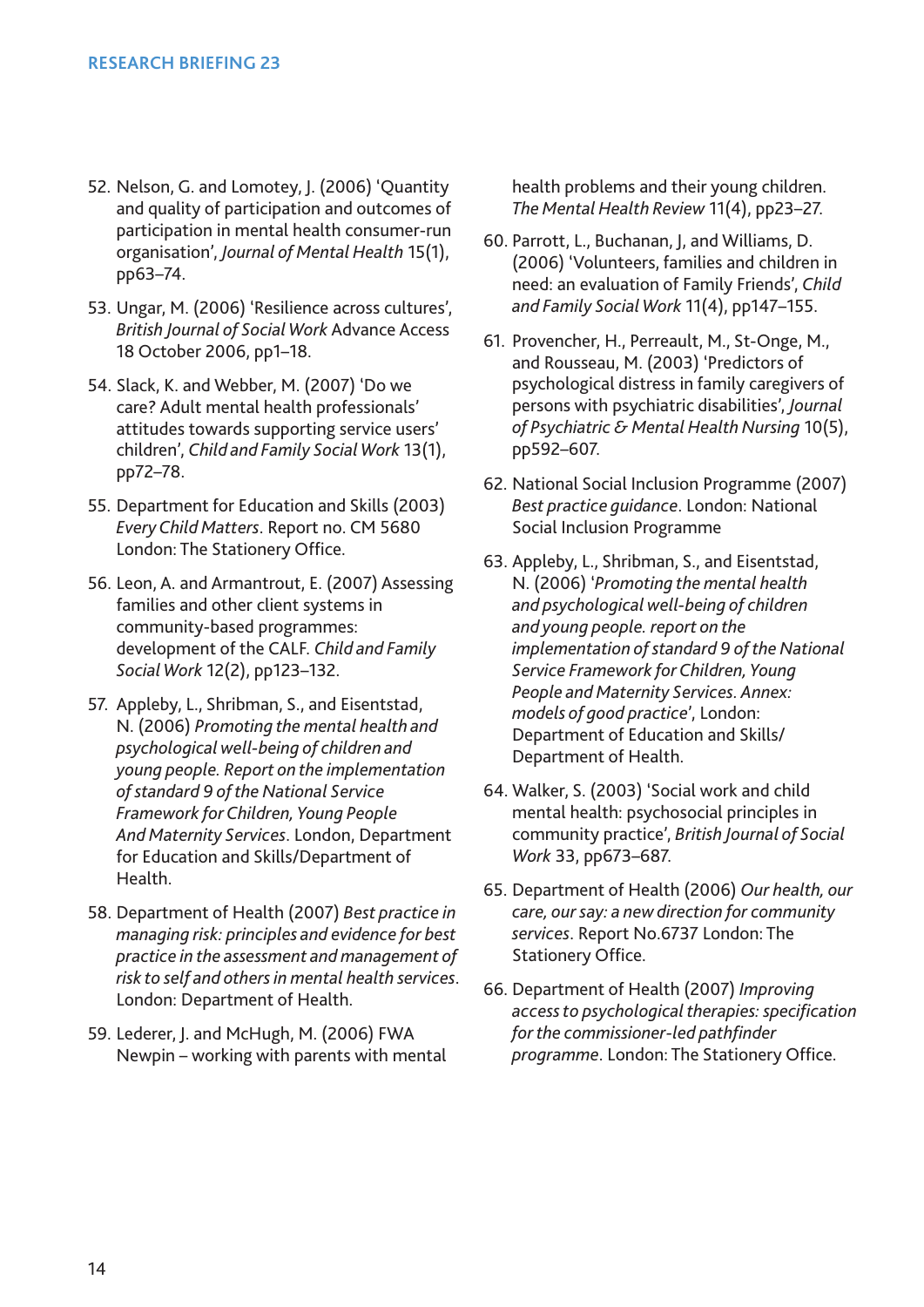- 52. Nelson, G. and Lomotey, J. (2006) 'Quantity and quality of participation and outcomes of participation in mental health consumer-run organisation', *Journal of Mental Health* 15(1), pp63–74.
- 53. Ungar, M. (2006) 'Resilience across cultures', *British Journal of Social Work* Advance Access 18 October 2006, pp1–18.
- 54. Slack, K. and Webber, M. (2007) 'Do we care? Adult mental health professionals' attitudes towards supporting service users' children', *Child and Family Social Work* 13(1), pp72–78.
- 55. Department for Education and Skills (2003) *Every Child Matters*. Report no. CM 5680 London: The Stationery Office.
- 56. Leon, A. and Armantrout, E. (2007) Assessing families and other client systems in community-based programmes: development of the CALF. *Child and Family Social Work* 12(2), pp123–132.
- 57. Appleby, L., Shribman, S., and Eisentstad, N. (2006) *Promoting the mental health and psychological well-being of children and young people. Report on the implementation of standard 9 of the National Service Framework for Children, Young People And Maternity Services*. London, Department for Education and Skills/Department of Health.
- 58. Department of Health (2007) *Best practice in managing risk: principles and evidence for best practice in the assessment and management of risk to self and others in mental health services*. London: Department of Health.
- 59. Lederer, J. and McHugh, M. (2006) FWA Newpin – working with parents with mental

health problems and their young children. *The Mental Health Review* 11(4), pp23–27.

- 60. Parrott, L., Buchanan, J, and Williams, D. (2006) 'Volunteers, families and children in need: an evaluation of Family Friends', *Child and Family Social Work* 11(4), pp147–155.
- 61. Provencher, H., Perreault, M., St-Onge, M., and Rousseau, M. (2003) 'Predictors of psychological distress in family caregivers of persons with psychiatric disabilities', *Journal of Psychiatric & Mental Health Nursing* 10(5), pp592–607.
- 62. National Social Inclusion Programme (2007) *Best practice guidance*. London: National Social Inclusion Programme
- 63. Appleby, L., Shribman, S., and Eisentstad, N. (2006) '*Promoting the mental health and psychological well-being of children and young people. report on the implementation of standard 9 of the National Service Framework for Children, Young People and Maternity Services. Annex: models of good practice*', London: Department of Education and Skills/ Department of Health.
- 64. Walker, S. (2003) 'Social work and child mental health: psychosocial principles in community practice', *British Journal of Social Work* 33, pp673–687.
- 65. Department of Health (2006) *Our health, our care, our say: a new direction for community services*. Report No.6737 London: The Stationery Office.
- 66. Department of Health (2007) *Improving access to psychological therapies: specification for the commissioner-led pathfinder programme*. London: The Stationery Office.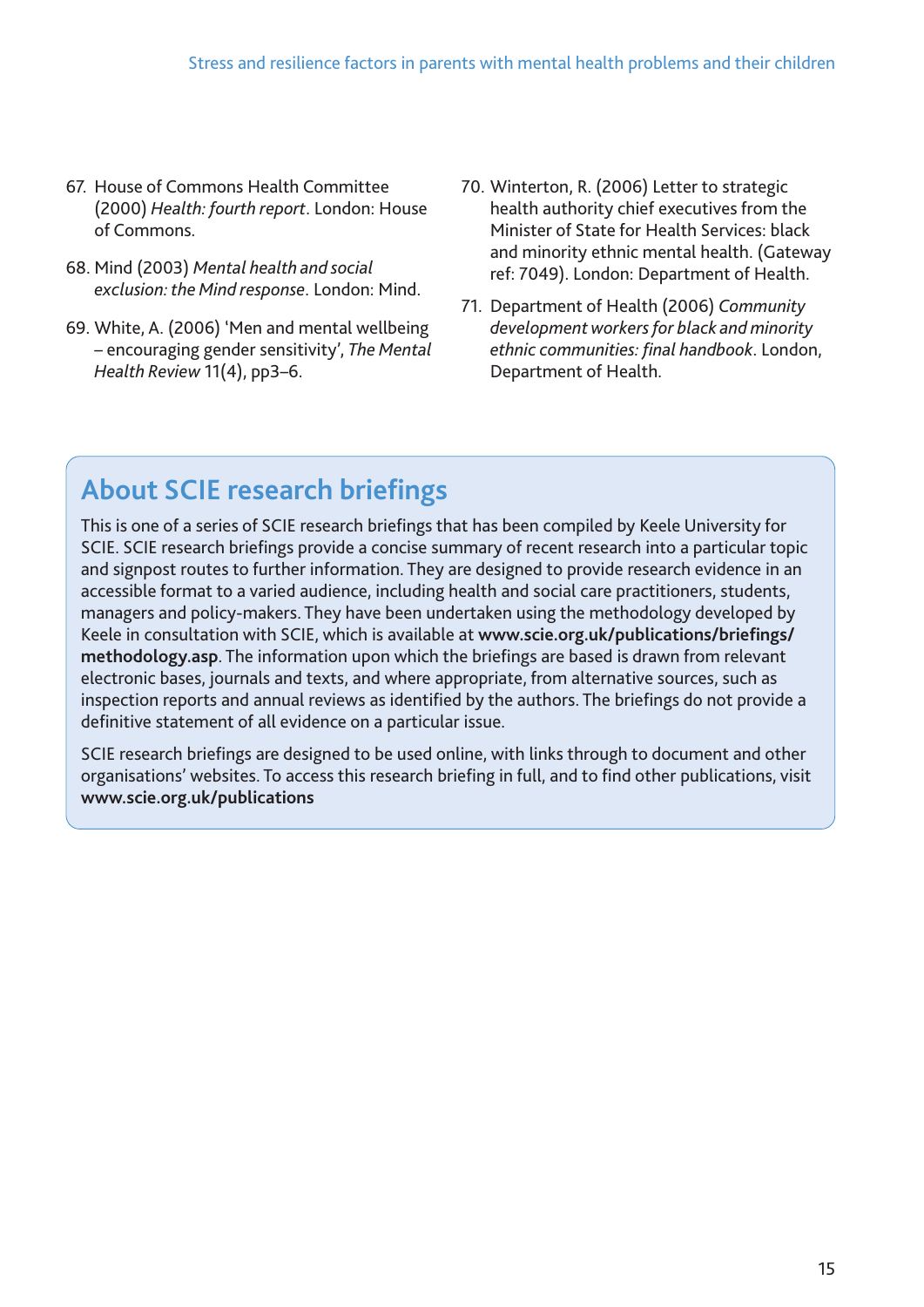- 67. House of Commons Health Committee (2000) *Health: fourth report*. London: House of Commons.
- 68. Mind (2003) *Mental health and social exclusion: the Mind response*. London: Mind.
- 69. White, A. (2006) 'Men and mental wellbeing – encouraging gender sensitivity', *The Mental Health Review* 11(4), pp3–6.
- 70. Winterton, R. (2006) Letter to strategic health authority chief executives from the Minister of State for Health Services: black and minority ethnic mental health. (Gateway ref: 7049). London: Department of Health.
- 71. Department of Health (2006) *Community development workers for black and minority ethnic communities: final handbook*. London, Department of Health.

## **About SCIE research briefings**

This is one of a series of SCIE research briefings that has been compiled by Keele University for SCIE. SCIE research briefings provide a concise summary of recent research into a particular topic and signpost routes to further information. They are designed to provide research evidence in an accessible format to a varied audience, including health and social care practitioners, students, managers and policy-makers. They have been undertaken using the methodology developed by Keele in consultation with SCIE, which is available at **www.scie.org.uk/publications/briefings/ methodology.asp**. The information upon which the briefings are based is drawn from relevant electronic bases, journals and texts, and where appropriate, from alternative sources, such as inspection reports and annual reviews as identified by the authors. The briefings do not provide a definitive statement of all evidence on a particular issue.

SCIE research briefings are designed to be used online, with links through to document and other organisations' websites. To access this research briefing in full, and to find other publications, visit **www.scie.org.uk/publications**